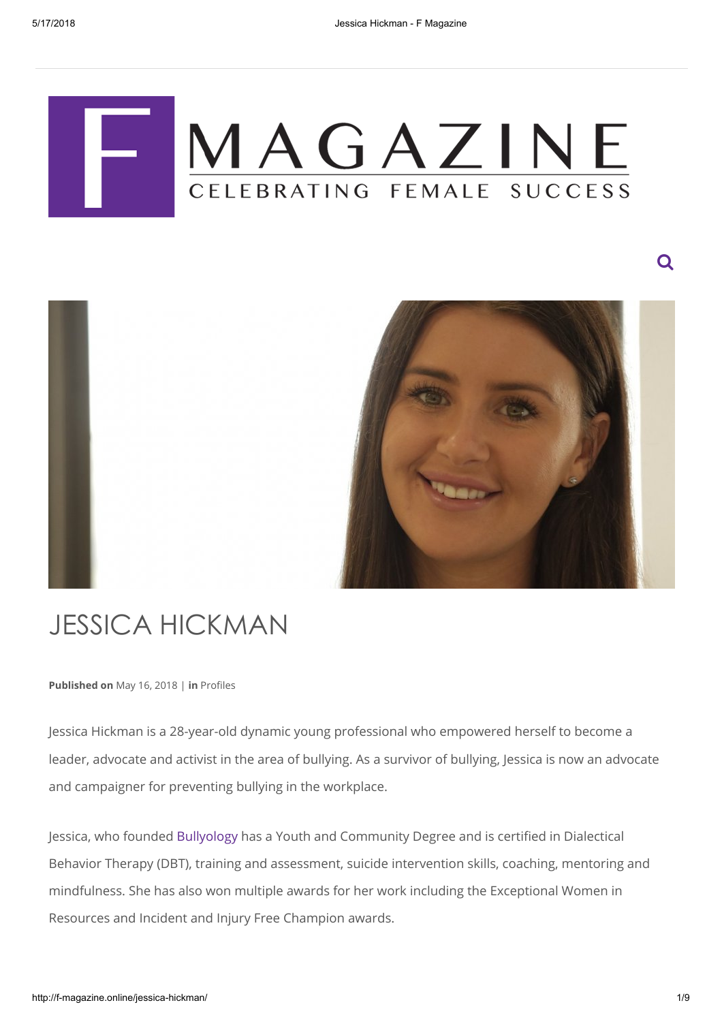



# JESSICA HICKMAN

Published on May 16, 2018 | in Profiles

Jessica Hickman is a 28-year-old dynamic young professional who empowered herself to become a leader, advocate and activist in the area of bullying. As a survivor of bullying, Jessica is now an advocate and campaigner for preventing bullying in the workplace.

Jessica, who founded [Bullyology](https://bullyology.com/) has a Youth and Community Degree and is certified in Dialectical Behavior Therapy (DBT), training and assessment, suicide intervention skills, coaching, mentoring and mindfulness. She has also won multiple awards for her work including the Exceptional Women in Resources and Incident and Injury Free Champion awards.

Q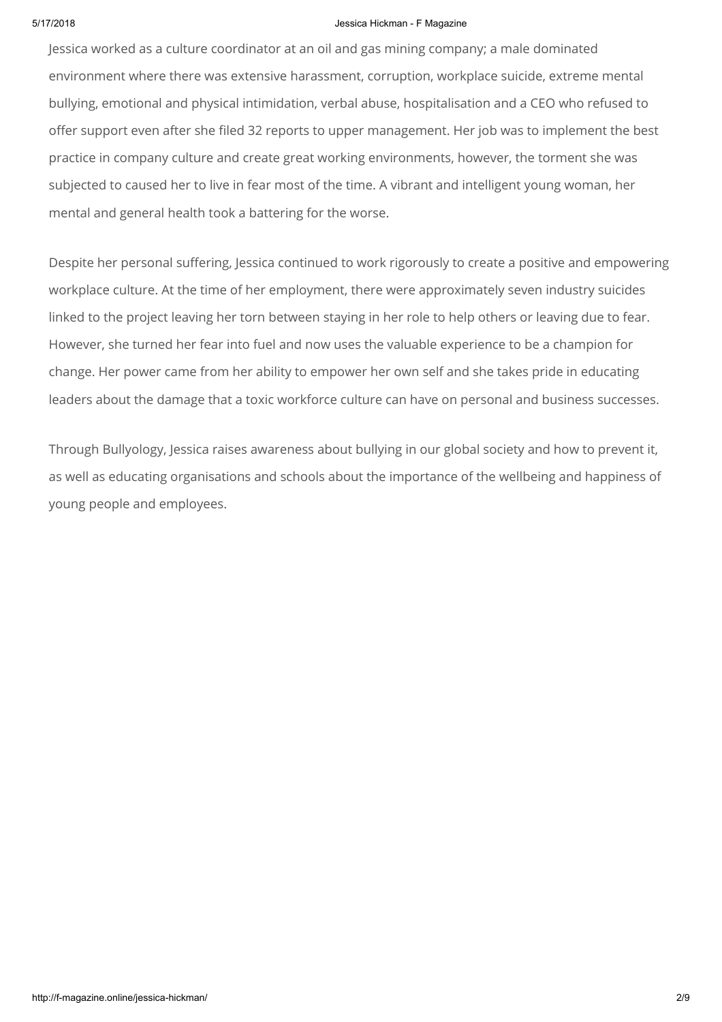### 5/17/2018 Jessica Hickman - F Magazine

Jessica worked as a culture coordinator at an oil and gas mining company; a male dominated environment where there was extensive harassment, corruption, workplace suicide, extreme mental bullying, emotional and physical intimidation, verbal abuse, hospitalisation and a CEO who refused to offer support even after she filed 32 reports to upper management. Her job was to implement the best practice in company culture and create great working environments, however, the torment she was subjected to caused her to live in fear most of the time. A vibrant and intelligent young woman, her mental and general health took a battering for the worse.

Despite her personal suffering, Jessica continued to work rigorously to create a positive and empowering workplace culture. At the time of her employment, there were approximately seven industry suicides linked to the project leaving her torn between staying in her role to help others or leaving due to fear. However, she turned her fear into fuel and now uses the valuable experience to be a champion for change. Her power came from her ability to empower her own self and she takes pride in educating leaders about the damage that a toxic workforce culture can have on personal and business successes.

Through Bullyology, Jessica raises awareness about bullying in our global society and how to prevent it, as well as educating organisations and schools about the importance of the wellbeing and happiness of young people and employees.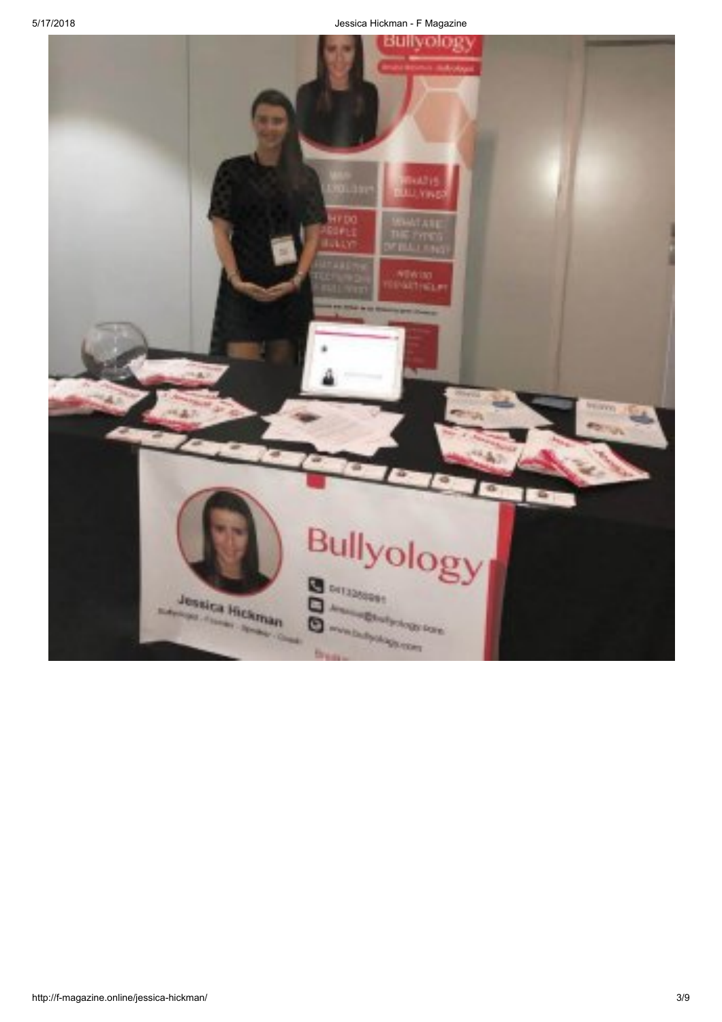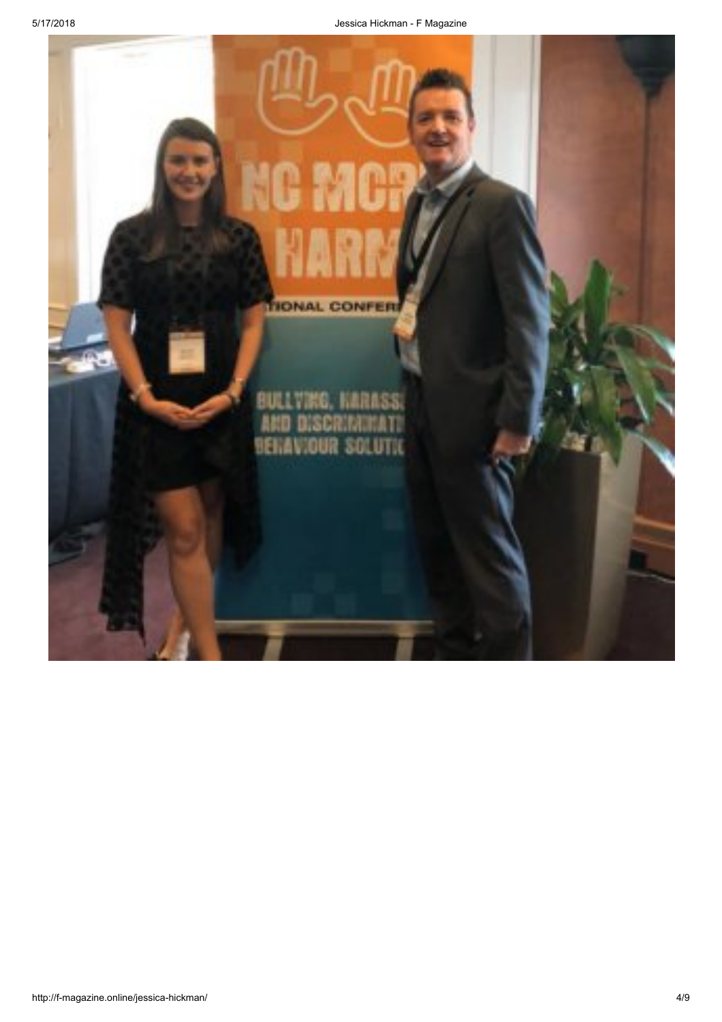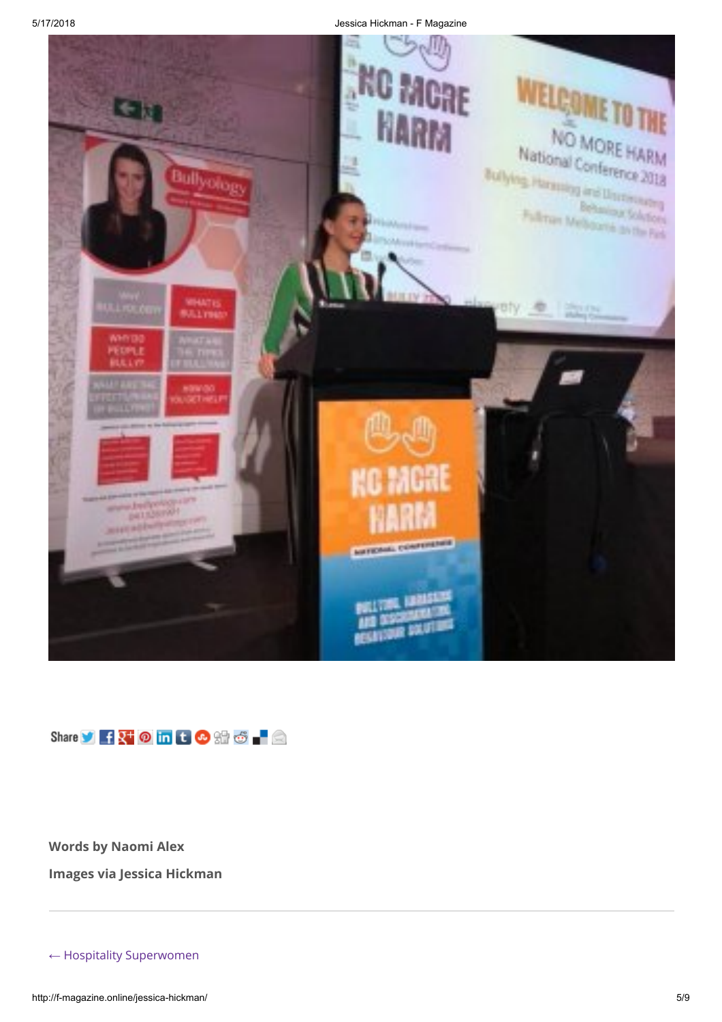5/17/2018 Jessica Hickman - F Magazine





Words by Naomi Alex

Images via Jessica Hickman

← [Hospitality Superwomen](http://f-magazine.online/the-inspired-series-superwomen-in-hospitality/)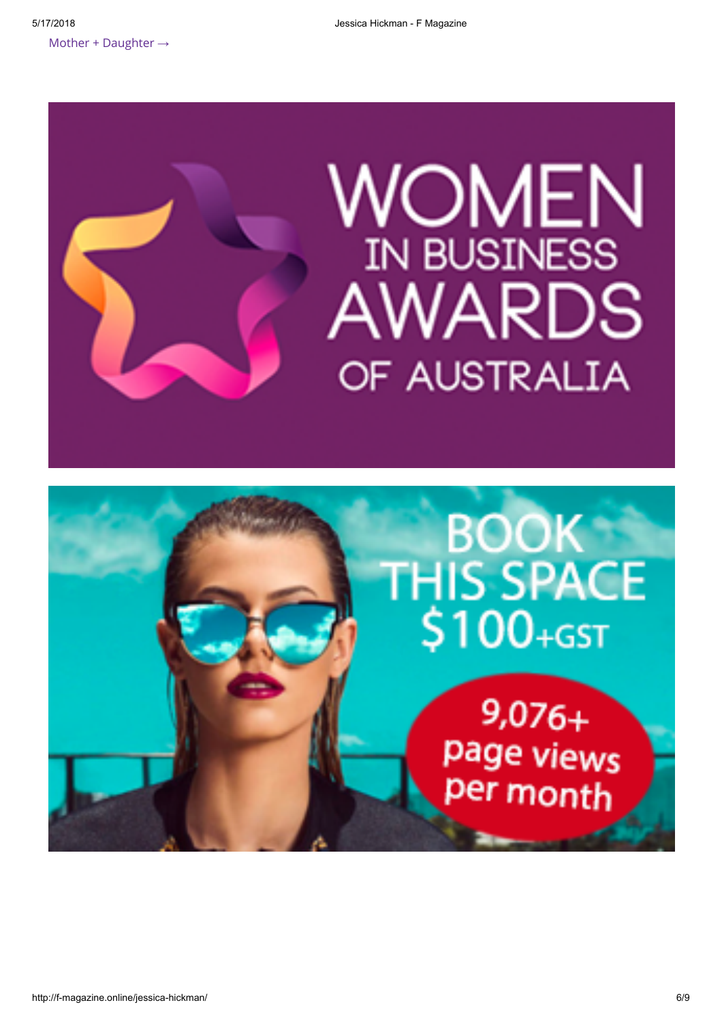

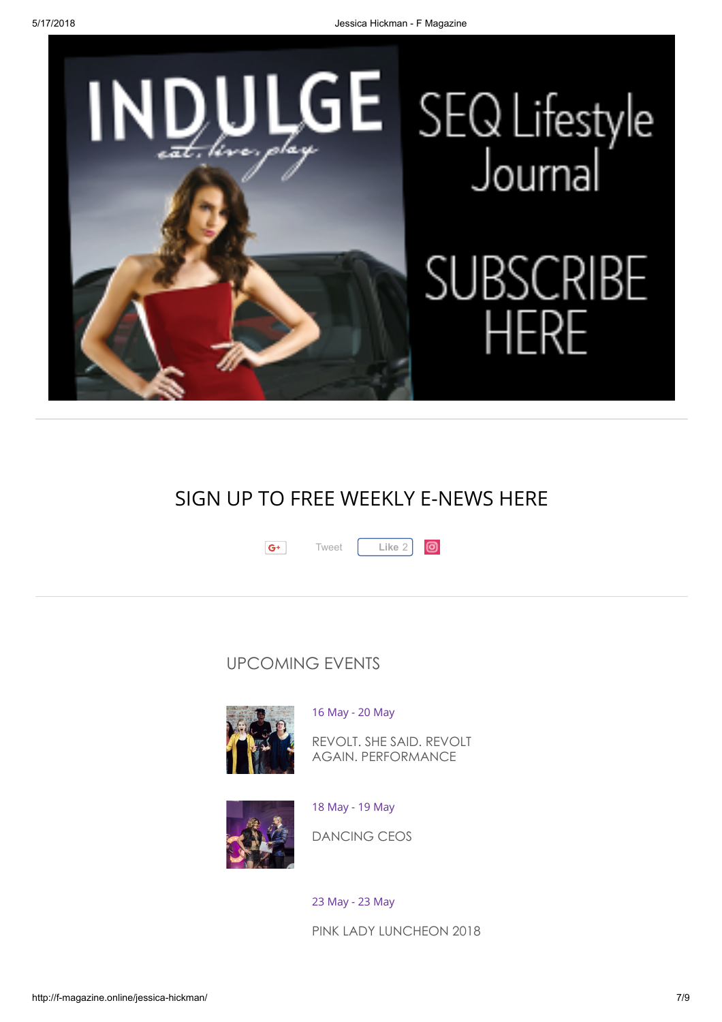

# [SIGN UP TO FREE WEEKLY E-NEWS HERE](http://f-magazine.online/subscribe/)



[Tweet](https://twitter.com/intent/tweet?original_referer=http%3A%2F%2Ff-magazine.online%2Fjessica-hickman%2F&ref_src=twsrc%5Etfw&text=Jessica%20Hickman&tw_p=tweetbutton&url=http%3A%2F%2Ff-magazine.online%2Fjessica-hickman%2F%23.Wvz4jYGSGuE.twitter) | Like 2

⊚

UPCOMING EVENTS



16 May - 20 May

[REVOLT. SHE SAID. REVOLT](http://f-magazine.online/event/revolt-she-said-revolt-again-play/) AGAIN. PERFORMANCE



18 May - 19 May

[DANCING CEOS](http://f-magazine.online/event/dancing-ceos/)

23 May - 23 May

[PINK LADY LUNCHEON 2018](http://f-magazine.online/event/pink-lady-luncheon-2018/)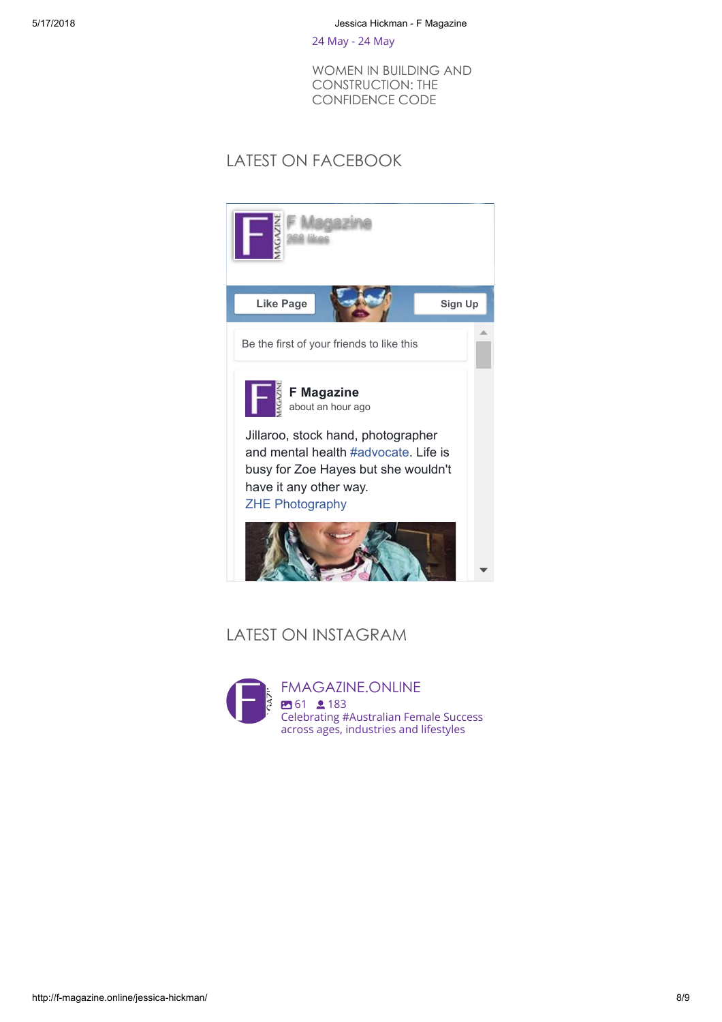24 May - 24 May

[WOMEN IN BUILDING AND](http://f-magazine.online/event/women-in-building-and-construction-the-confidence-code/) CONSTRUCTION: THE CONFIDENCE CODE

## LATEST ON FACEBOOK



LATEST ON INSTAGRAM